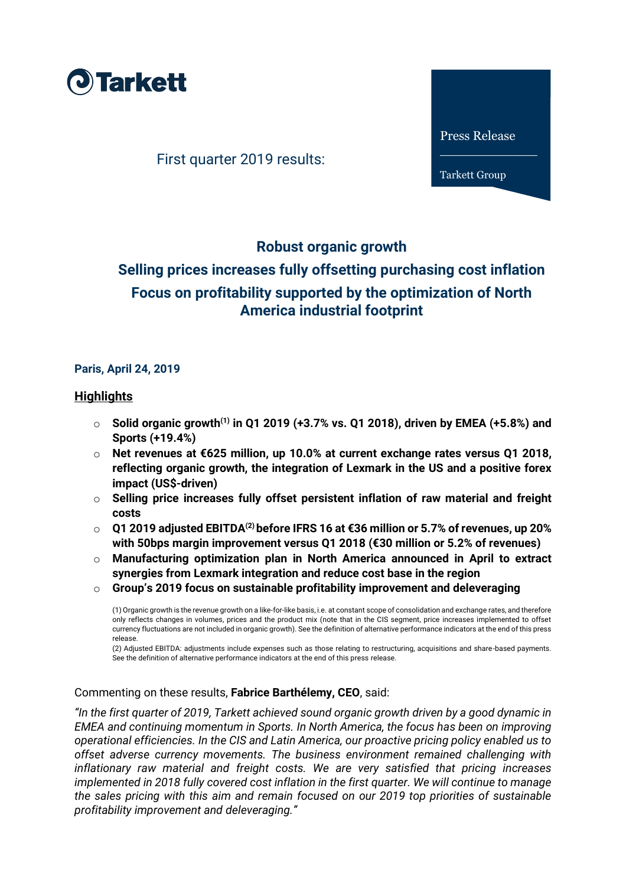

First quarter 2019 results:

Press Release

\_\_\_\_\_\_\_\_\_\_\_\_

Tarkett Group

## **Robust organic growth**

# **Selling prices increases fully offsetting purchasing cost inflation Focus on profitability supported by the optimization of North America industrial footprint**

#### **Paris, April 24, 2019**

#### **Highlights**

- o **Solid organic growth(1) in Q1 2019 (+3.7% vs. Q1 2018), driven by EMEA (+5.8%) and Sports (+19.4%)**
- o **Net revenues at €625 million, up 10.0% at current exchange rates versus Q1 2018, reflecting organic growth, the integration of Lexmark in the US and a positive forex impact (US\$-driven)**
- o **Selling price increases fully offset persistent inflation of raw material and freight costs**
- o **Q1 2019 adjusted EBITDA(2) before IFRS 16 at €36 million or 5.7% of revenues, up 20% with 50bps margin improvement versus Q1 2018 (€30 million or 5.2% of revenues)**
- o **Manufacturing optimization plan in North America announced in April to extract synergies from Lexmark integration and reduce cost base in the region**
- o **Group's 2019 focus on sustainable profitability improvement and deleveraging**

(1) Organic growth is the revenue growth on a like-for-like basis, i.e. at constant scope of consolidation and exchange rates, and therefore only reflects changes in volumes, prices and the product mix (note that in the CIS segment, price increases implemented to offset currency fluctuations are not included in organic growth). See the definition of alternative performance indicators at the end of this press release.

(2) Adjusted EBITDA: adjustments include expenses such as those relating to restructuring, acquisitions and share-based payments. See the definition of alternative performance indicators at the end of this press release.

#### Commenting on these results, **Fabrice Barthélemy, CEO**, said:

*"In the first quarter of 2019, Tarkett achieved sound organic growth driven by a good dynamic in EMEA and continuing momentum in Sports. In North America, the focus has been on improving operational efficiencies. In the CIS and Latin America, our proactive pricing policy enabled us to offset adverse currency movements. The business environment remained challenging with inflationary raw material and freight costs. We are very satisfied that pricing increases implemented in 2018 fully covered cost inflation in the first quarter. We will continue to manage the sales pricing with this aim and remain focused on our 2019 top priorities of sustainable profitability improvement and deleveraging."*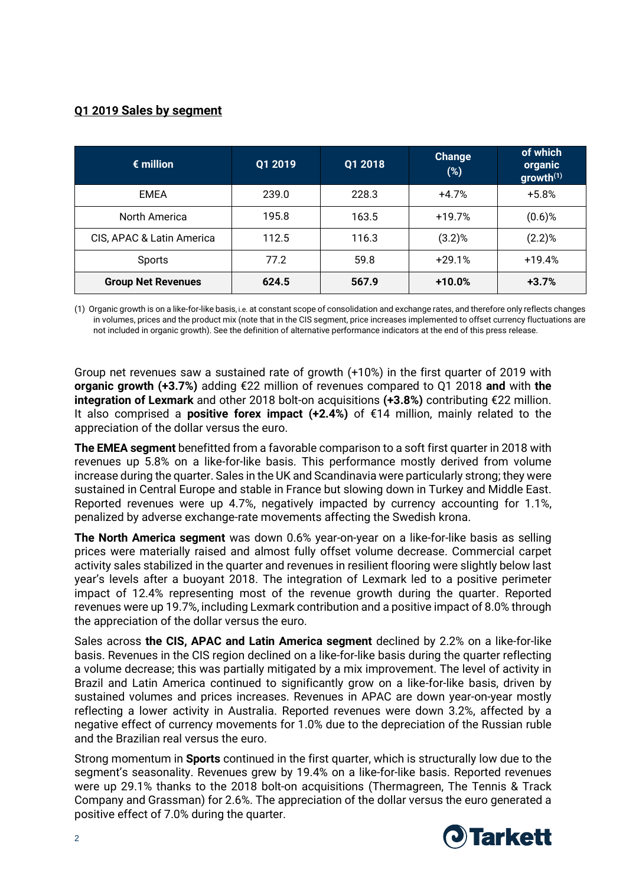## **Q1 2019 Sales by segment**

| $\epsilon$ million        | Q1 2019 | Q1 2018 | <b>Change</b><br>(%) | of which<br>organic<br>growth <sup>(1)</sup> |
|---------------------------|---------|---------|----------------------|----------------------------------------------|
| EMEA                      | 239.0   | 228.3   | $+4.7%$              | $+5.8%$                                      |
| North America             | 195.8   | 163.5   | $+19.7%$             | $(0.6)$ %                                    |
| CIS, APAC & Latin America | 112.5   | 116.3   | $(3.2)$ %            | $(2.2)$ %                                    |
| Sports                    | 77.2    | 59.8    | $+29.1%$             | $+19.4%$                                     |
| <b>Group Net Revenues</b> | 624.5   | 567.9   | $+10.0%$             | $+3.7%$                                      |

(1) Organic growth is on a like-for-like basis, i.e. at constant scope of consolidation and exchange rates, and therefore only reflects changes in volumes, prices and the product mix (note that in the CIS segment, price increases implemented to offset currency fluctuations are not included in organic growth). See the definition of alternative performance indicators at the end of this press release.

Group net revenues saw a sustained rate of growth (+10%) in the first quarter of 2019 with **organic growth (+3.7%)** adding €22 million of revenues compared to Q1 2018 **and** with **the integration of Lexmark** and other 2018 bolt-on acquisitions **(+3.8%)** contributing €22 million. It also comprised a **positive forex impact (+2.4%)** of €14 million, mainly related to the appreciation of the dollar versus the euro.

**The EMEA segment** benefitted from a favorable comparison to a soft first quarter in 2018 with revenues up 5.8% on a like-for-like basis. This performance mostly derived from volume increase during the quarter. Sales in the UK and Scandinavia were particularly strong; they were sustained in Central Europe and stable in France but slowing down in Turkey and Middle East. Reported revenues were up 4.7%, negatively impacted by currency accounting for 1.1%, penalized by adverse exchange-rate movements affecting the Swedish krona.

**The North America segment** was down 0.6% year-on-year on a like-for-like basis as selling prices were materially raised and almost fully offset volume decrease. Commercial carpet activity sales stabilized in the quarter and revenues in resilient flooring were slightly below last year's levels after a buoyant 2018. The integration of Lexmark led to a positive perimeter impact of 12.4% representing most of the revenue growth during the quarter. Reported revenues were up 19.7%, including Lexmark contribution and a positive impact of 8.0% through the appreciation of the dollar versus the euro.

Sales across **the CIS, APAC and Latin America segment** declined by 2.2% on a like-for-like basis. Revenues in the CIS region declined on a like-for-like basis during the quarter reflecting a volume decrease; this was partially mitigated by a mix improvement. The level of activity in Brazil and Latin America continued to significantly grow on a like-for-like basis, driven by sustained volumes and prices increases. Revenues in APAC are down year-on-year mostly reflecting a lower activity in Australia. Reported revenues were down 3.2%, affected by a negative effect of currency movements for 1.0% due to the depreciation of the Russian ruble and the Brazilian real versus the euro.

Strong momentum in **Sports** continued in the first quarter, which is structurally low due to the segment's seasonality. Revenues grew by 19.4% on a like-for-like basis. Reported revenues were up 29.1% thanks to the 2018 bolt-on acquisitions (Thermagreen, The Tennis & Track Company and Grassman) for 2.6%. The appreciation of the dollar versus the euro generated a positive effect of 7.0% during the quarter.

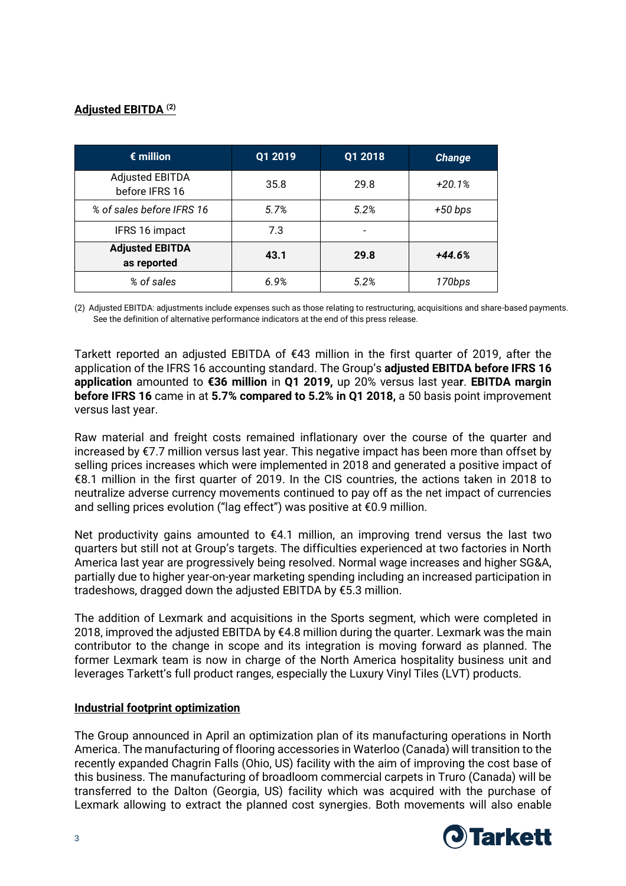## **Adjusted EBITDA (2)**

| $\epsilon$ million                       | Q1 2019 | Q1 2018 | <b>Change</b> |
|------------------------------------------|---------|---------|---------------|
| <b>Adjusted EBITDA</b><br>before IFRS 16 | 35.8    | 29.8    | $+20.1%$      |
| % of sales before IFRS 16                | 5.7%    | 5.2%    | $+50 bps$     |
| IFRS 16 impact                           | 7.3     |         |               |
| <b>Adjusted EBITDA</b><br>as reported    | 43.1    | 29.8    | $+44.6%$      |
| % of sales                               | 6.9%    | 5.2%    | 170bps        |

(2) Adjusted EBITDA: adjustments include expenses such as those relating to restructuring, acquisitions and share-based payments. See the definition of alternative performance indicators at the end of this press release.

Tarkett reported an adjusted EBITDA of €43 million in the first quarter of 2019, after the application of the IFRS 16 accounting standard. The Group's **adjusted EBITDA before IFRS 16 application** amounted to **€36 million** in **Q1 2019,** up 20% versus last yea**r**. **EBITDA margin before IFRS 16** came in at **5.7% compared to 5.2% in Q1 2018,** a 50 basis point improvement versus last year.

Raw material and freight costs remained inflationary over the course of the quarter and increased by €7.7 million versus last year. This negative impact has been more than offset by selling prices increases which were implemented in 2018 and generated a positive impact of €8.1 million in the first quarter of 2019. In the CIS countries, the actions taken in 2018 to neutralize adverse currency movements continued to pay off as the net impact of currencies and selling prices evolution ("lag effect") was positive at €0.9 million.

Net productivity gains amounted to  $E4.1$  million, an improving trend versus the last two quarters but still not at Group's targets. The difficulties experienced at two factories in North America last year are progressively being resolved. Normal wage increases and higher SG&A, partially due to higher year-on-year marketing spending including an increased participation in tradeshows, dragged down the adjusted EBITDA by €5.3 million.

The addition of Lexmark and acquisitions in the Sports segment, which were completed in 2018, improved the adjusted EBITDA by  $\epsilon$ 4.8 million during the quarter. Lexmark was the main contributor to the change in scope and its integration is moving forward as planned. The former Lexmark team is now in charge of the North America hospitality business unit and leverages Tarkett's full product ranges, especially the Luxury Vinyl Tiles (LVT) products.

#### **Industrial footprint optimization**

The Group announced in April an optimization plan of its manufacturing operations in North America. The manufacturing of flooring accessories in Waterloo (Canada) will transition to the recently expanded Chagrin Falls (Ohio, US) facility with the aim of improving the cost base of this business. The manufacturing of broadloom commercial carpets in Truro (Canada) will be transferred to the Dalton (Georgia, US) facility which was acquired with the purchase of Lexmark allowing to extract the planned cost synergies. Both movements will also enable

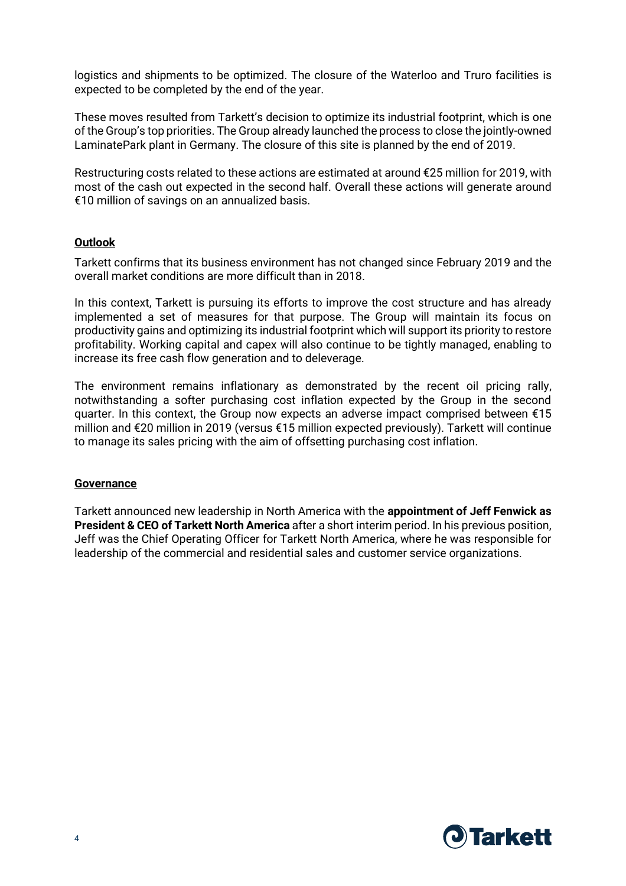logistics and shipments to be optimized. The closure of the Waterloo and Truro facilities is expected to be completed by the end of the year.

These moves resulted from Tarkett's decision to optimize its industrial footprint, which is one of the Group's top priorities. The Group already launched the process to close the jointly-owned LaminatePark plant in Germany. The closure of this site is planned by the end of 2019.

Restructuring costs related to these actions are estimated at around €25 million for 2019, with most of the cash out expected in the second half. Overall these actions will generate around €10 million of savings on an annualized basis.

#### **Outlook**

Tarkett confirms that its business environment has not changed since February 2019 and the overall market conditions are more difficult than in 2018.

In this context, Tarkett is pursuing its efforts to improve the cost structure and has already implemented a set of measures for that purpose. The Group will maintain its focus on productivity gains and optimizing its industrial footprint which will support its priority to restore profitability. Working capital and capex will also continue to be tightly managed, enabling to increase its free cash flow generation and to deleverage.

The environment remains inflationary as demonstrated by the recent oil pricing rally, notwithstanding a softer purchasing cost inflation expected by the Group in the second quarter. In this context, the Group now expects an adverse impact comprised between  $\epsilon$ 15 million and €20 million in 2019 (versus €15 million expected previously). Tarkett will continue to manage its sales pricing with the aim of offsetting purchasing cost inflation.

#### **Governance**

Tarkett announced new leadership in North America with the **appointment of Jeff Fenwick as President & CEO of Tarkett North America** after a short interim period. In his previous position, Jeff was the Chief Operating Officer for Tarkett North America, where he was responsible for leadership of the commercial and residential sales and customer service organizations.

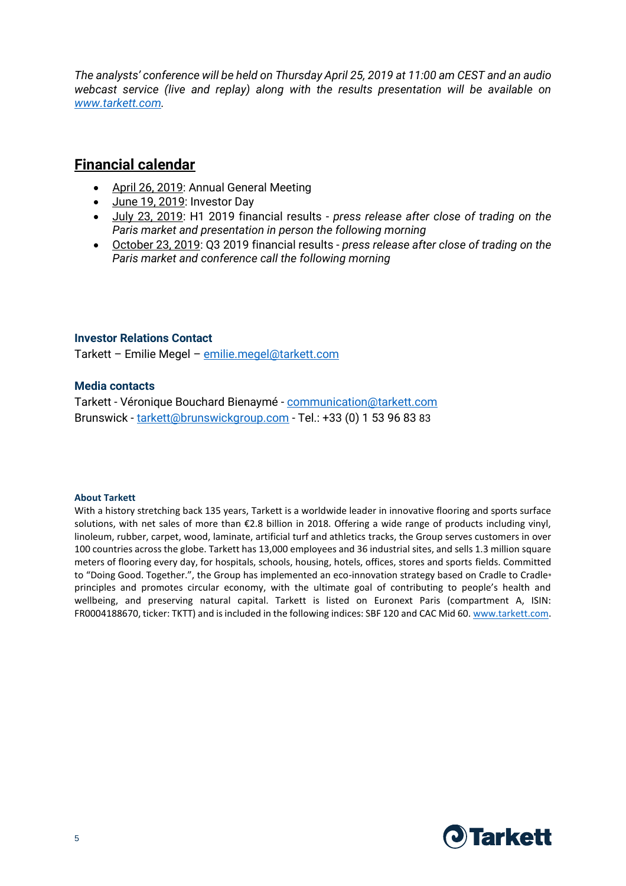*The analysts' conference will be held on Thursday April 25, 2019 at 11:00 am CEST and an audio webcast service (live and replay) along with the results presentation will be available on [www.tarkett.com.](http://www.tarkett.com/)*

## **Financial calendar**

- April 26, 2019: Annual General Meeting
- June 19, 2019: Investor Day
- July 23, 2019: H1 2019 financial results *press release after close of trading on the Paris market and presentation in person the following morning*
- October 23, 2019: Q3 2019 financial results *press release after close of trading on the Paris market and conference call the following morning*

#### **Investor Relations Contact**

Tarkett – Emilie Megel – [emilie.megel@tarkett.com](mailto:emilie.megel@tarkett.com)

#### **Media contacts**

Tarkett - Véronique Bouchard Bienaymé - [communication@tarkett.com](mailto:communication@tarkett.com) Brunswick - [tarkett@brunswickgroup.com](mailto:tarkett@brunswickgroup.com) - Tel.: +33 (0) 1 53 96 83 83

#### **About Tarkett**

With a history stretching back 135 years, Tarkett is a worldwide leader in innovative flooring and sports surface solutions, with net sales of more than €2.8 billion in 2018. Offering a wide range of products including vinyl, linoleum, rubber, carpet, wood, laminate, artificial turf and athletics tracks, the Group serves customers in over 100 countries across the globe. Tarkett has 13,000 employees and 36 industrial sites, and sells 1.3 million square meters of flooring every day, for hospitals, schools, housing, hotels, offices, stores and sports fields. Committed to "Doing Good. Together.", the Group has implemented an eco-innovation strategy based on Cradle to Cradle® principles and promotes circular economy, with the ultimate goal of contributing to people's health and wellbeing, and preserving natural capital. Tarkett is listed on Euronext Paris (compartment A, ISIN: FR0004188670, ticker: TKTT) and is included in the following indices: SBF 120 and CAC Mid 60. [www.tarkett.com.](http://www.tarkett.com/)

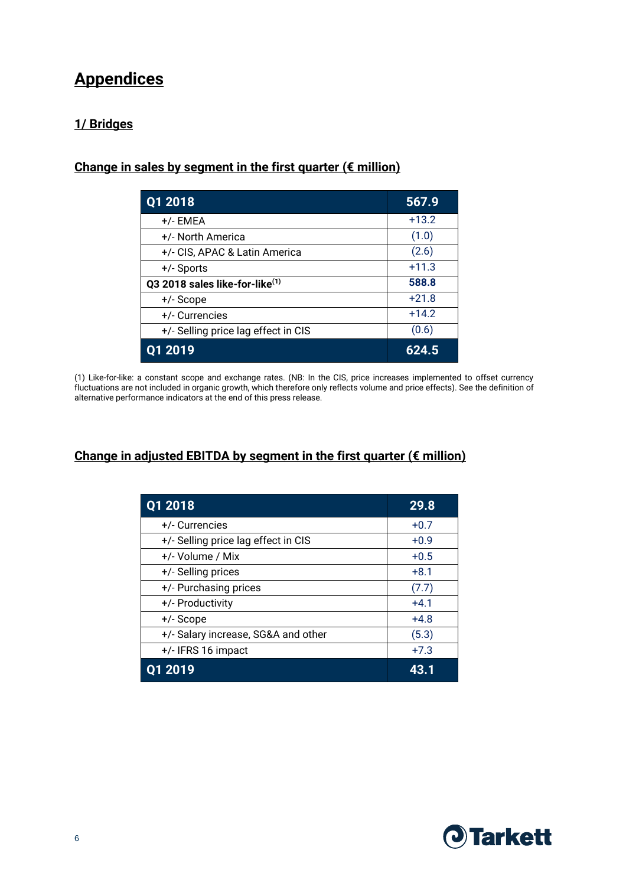# **Appendices**

## **1/ Bridges**

## **Change in sales by segment in the first quarter (€ million)**

| Q1 2018                                    | 567.9   |
|--------------------------------------------|---------|
| +/- EMEA                                   | $+13.2$ |
| +/- North America                          | (1.0)   |
| +/- CIS, APAC & Latin America              | (2.6)   |
| $+/-$ Sports                               | $+11.3$ |
| Q3 2018 sales like-for-like <sup>(1)</sup> | 588.8   |
| +/- Scope                                  | $+21.8$ |
| +/- Currencies                             | $+14.2$ |
| +/- Selling price lag effect in CIS        | (0.6)   |
| 01 2019                                    | 624.5   |

(1) Like-for-like: a constant scope and exchange rates. (NB: In the CIS, price increases implemented to offset currency fluctuations are not included in organic growth, which therefore only reflects volume and price effects). See the definition of alternative performance indicators at the end of this press release.

## Change in adjusted EBITDA by segment in the first quarter (€ million)

| Q1 2018                             | 29.8   |
|-------------------------------------|--------|
| +/- Currencies                      | $+0.7$ |
| +/- Selling price lag effect in CIS | $+0.9$ |
| +/- Volume / Mix                    | $+0.5$ |
| +/- Selling prices                  | $+8.1$ |
| +/- Purchasing prices               | (7.7)  |
| +/- Productivity                    | $+4.1$ |
| +/- Scope                           | $+4.8$ |
| +/- Salary increase, SG&A and other | (5.3)  |
| +/- IFRS 16 impact                  | $+7.3$ |
| 2019                                | 43.1   |

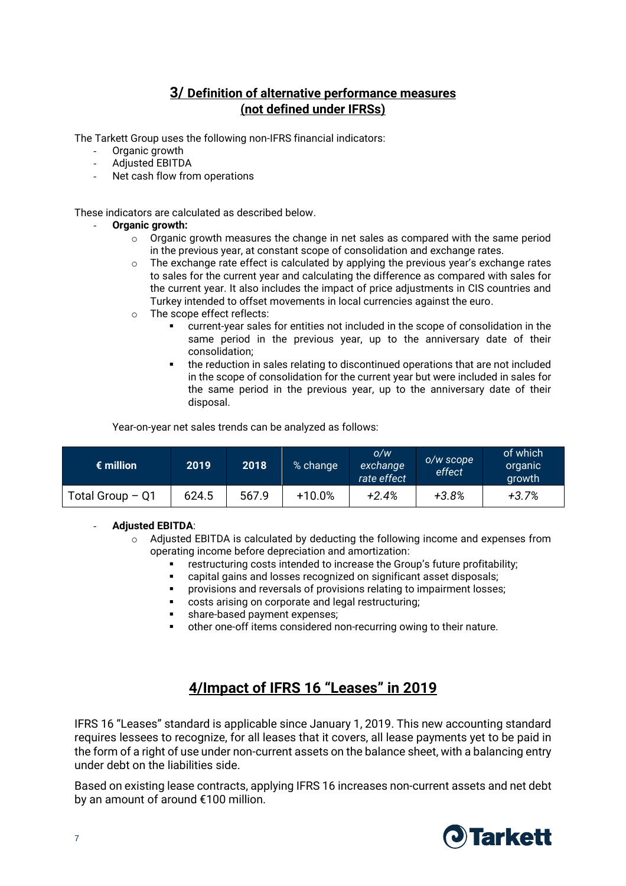## **3/ Definition of alternative performance measures (not defined under IFRSs)**

The Tarkett Group uses the following non-IFRS financial indicators:

- Organic growth
- Adjusted EBITDA
- Net cash flow from operations

These indicators are calculated as described below.

#### - **Organic growth:**

- $\circ$  Organic growth measures the change in net sales as compared with the same period in the previous year, at constant scope of consolidation and exchange rates.
- $\circ$  The exchange rate effect is calculated by applying the previous year's exchange rates to sales for the current year and calculating the difference as compared with sales for the current year. It also includes the impact of price adjustments in CIS countries and Turkey intended to offset movements in local currencies against the euro.
- o The scope effect reflects:
	- current-year sales for entities not included in the scope of consolidation in the same period in the previous year, up to the anniversary date of their consolidation;
	- the reduction in sales relating to discontinued operations that are not included in the scope of consolidation for the current year but were included in sales for the same period in the previous year, up to the anniversary date of their disposal.

Year-on-year net sales trends can be analyzed as follows:

| $\epsilon$ million | 2019  | 2018  | % change  | O/W<br>exchange<br>rate effect | o/w scope<br>effect | of which<br>organic<br>growth |
|--------------------|-------|-------|-----------|--------------------------------|---------------------|-------------------------------|
| Total Group $-$ Q1 | 624.5 | 567.9 | $+10.0\%$ | $+2.4%$                        | $+3.8%$             | +3.7%                         |

#### - **Adjusted EBITDA**:

- o Adjusted EBITDA is calculated by deducting the following income and expenses from operating income before depreciation and amortization:
	- restructuring costs intended to increase the Group's future profitability;
	- capital gains and losses recognized on significant asset disposals;
	- **•** provisions and reversals of provisions relating to impairment losses;
	- costs arising on corporate and legal restructuring;
	- share-based payment expenses;
	- other one-off items considered non-recurring owing to their nature.

# **4/Impact of IFRS 16 "Leases" in 2019**

IFRS 16 "Leases" standard is applicable since January 1, 2019. This new accounting standard requires lessees to recognize, for all leases that it covers, all lease payments yet to be paid in the form of a right of use under non-current assets on the balance sheet, with a balancing entry under debt on the liabilities side.

Based on existing lease contracts, applying IFRS 16 increases non-current assets and net debt by an amount of around €100 million.